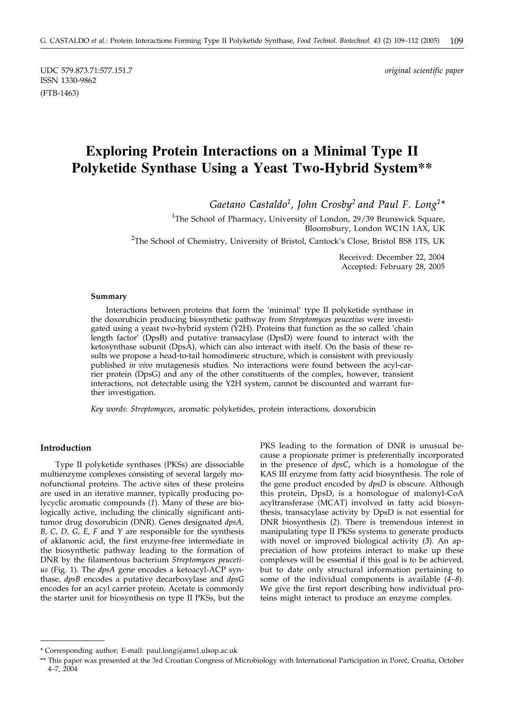UDC 579.873.71:577.151.7 *original scientific paper* ISSN 1330-9862 (FTB-1463)

# **Exploring Protein Interactions on a Minimal Type II Polyketide Synthase Using a Yeast Two-Hybrid System\*\***

*Gaetano Castaldo1, John Crosby2 and Paul F. Long1\**

<sup>1</sup>The School of Pharmacy, University of London, 29/39 Brunswick Square, Bloomsbury, London WC1N 1AX, UK <sup>2</sup>The School of Chemistry, University of Bristol, Cantock's Close, Bristol BS8 1TS, UK

> Received: December 22, 2004 Accepted: February 28, 2005

#### **Summary**

Interactions between proteins that form the 'minimal' type II polyketide synthase in the doxorubicin producing biosynthetic pathway from *Streptomyces peucetius* were investigated using a yeast two-hybrid system (Y2H). Proteins that function as the so called 'chain length factor' (DpsB) and putative transacylase (DpsD) were found to interact with the ketosynthase subunit (DpsA), which can also interact with itself. On the basis of these results we propose a head-to-tail homodimeric structure, which is consistent with previously published *in vivo* mutagenesis studies. No interactions were found between the acyl-carrier protein (DpsG) and any of the other constituents of the complex, however, transient interactions, not detectable using the Y2H system, cannot be discounted and warrant further investigation.

*Key words*: *Streptomyces*, aromatic polyketides, protein interactions, doxorubicin

### **Introduction**

Type II polyketide synthases (PKSs) are dissociable multienzyme complexes consisting of several largely monofunctional proteins. The active sites of these proteins are used in an iterative manner, typically producing polycyclic aromatic compounds (*1*). Many of these are biologically active, including the clinically significant antitumor drug doxorubicin (DNR). Genes designated *dpsA, B, C, D, G, E, F* and *Y* are responsible for the synthesis of aklanonic acid, the first enzyme-free intermediate in the biosynthetic pathway leading to the formation of DNR by the filamentous bacterium *Streptomyces peucetius* (Fig. 1). The *dpsA* gene encodes a ketoacyl-ACP synthase, *dpsB* encodes a putative decarboxylase and *dpsG* encodes for an acyl carrier protein. Acetate is commonly the starter unit for biosynthesis on type II PKSs, but the PKS leading to the formation of DNR is unusual because a propionate primer is preferentially incorporated in the presence of *dpsC*, which is a homologue of the KAS III enzyme from fatty acid biosynthesis. The role of the gene product encoded by *dpsD* is obscure. Although this protein, DpsD, is a homologue of malonyl-CoA acyltransferase (MCAT) involved in fatty acid biosynthesis, transacylase activity by DpsD is not essential for DNR biosynthesis (*2*). There is tremendous interest in manipulating type II PKSs systems to generate products with novel or improved biological activity (*3*). An appreciation of how proteins interact to make up these complexes will be essential if this goal is to be achieved, but to date only structural information pertaining to some of the individual components is available (*4–8*). We give the first report describing how individual proteins might interact to produce an enzyme complex.

<sup>\*</sup> Corresponding author; E-mail: paul.long*@*ams1.ulsop.ac.uk

<sup>\*\*</sup> This paper was presented at the 3rd Croatian Congress of Microbiology with International Participation in Poreč, Croatia, October 4–7, 2004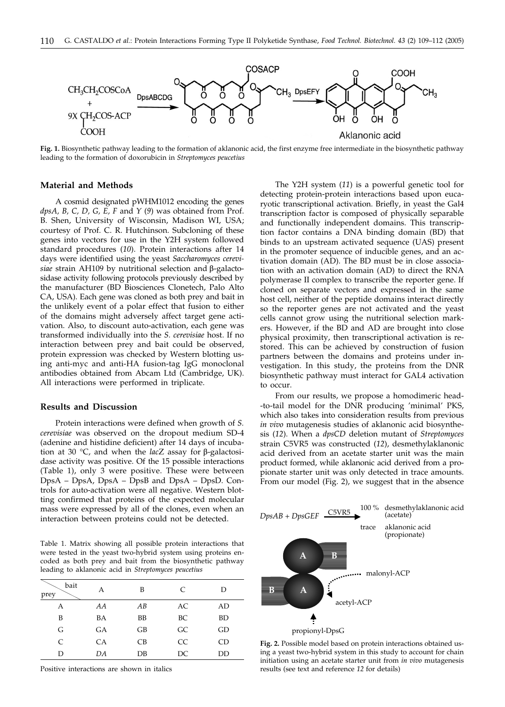

**Fig. 1.** Biosynthetic pathway leading to the formation of aklanonic acid, the first enzyme free intermediate in the biosynthetic pathway leading to the formation of doxorubicin in *Streptomyces peucetius*

#### **Material and Methods**

A cosmid designated pWHM1012 encoding the genes *dpsA, B, C, D, G, E, F* and *Y* (*9*) was obtained from Prof. B. Shen, University of Wisconsin, Madison WI, USA; courtesy of Prof. C. R. Hutchinson. Subcloning of these genes into vectors for use in the Y2H system followed standard procedures (*10*). Protein interactions after 14 days were identified using the yeast *Saccharomyces cerevisiae* strain AH109 by nutritional selection and β-galactosidase activity following protocols previously described by the manufacturer (BD Biosciences Clonetech, Palo Alto CA, USA). Each gene was cloned as both prey and bait in the unlikely event of a polar effect that fusion to either of the domains might adversely affect target gene activation. Also, to discount auto-activation, each gene was transformed individually into the *S. cerevisiae* host. If no interaction between prey and bait could be observed, protein expression was checked by Western blotting using anti-myc and anti-HA fusion-tag IgG monoclonal antibodies obtained from Abcam Ltd (Cambridge, UK). All interactions were performed in triplicate.

#### **Results and Discussion**

Protein interactions were defined when growth of *S. cerevisiae* was observed on the dropout medium SD-4 (adenine and histidine deficient) after 14 days of incubation at 30 °C, and when the *lac*Z assay for β-galactosidase activity was positive. Of the 15 possible interactions (Table 1), only 3 were positive. These were between DpsA – DpsA, DpsA – DpsB and DpsA – DpsD. Controls for auto-activation were all negative. Western blotting confirmed that proteins of the expected molecular mass were expressed by all of the clones, even when an interaction between proteins could not be detected.

Table 1. Matrix showing all possible protein interactions that were tested in the yeast two-hybrid system using proteins encoded as both prey and bait from the biosynthetic pathway leading to aklanonic acid in *Streptomyces peucetius*

| bait<br>prey  | А  | B               | $\mathcal{C}$ | D         |
|---------------|----|-----------------|---------------|-----------|
| А             | AA | AB              | AC            | AD        |
| B             | BA | BB              | BС            | <b>BD</b> |
| G             | GА | GB              | GC            | GD        |
| $\mathcal{C}$ | CA | CB              | <b>CC</b>     | CD        |
| D             | DA | $\overline{DB}$ | DC            | DD        |

Positive interactions are shown in italics

The Y2H system (*11*) is a powerful genetic tool for detecting protein-protein interactions based upon eucaryotic transcriptional activation. Briefly, in yeast the Gal4 transcription factor is composed of physically separable and functionally independent domains. This transcription factor contains a DNA binding domain (BD) that binds to an upstream activated sequence (UAS) present in the promoter sequence of inducible genes, and an activation domain (AD). The BD must be in close association with an activation domain (AD) to direct the RNA polymerase II complex to transcribe the reporter gene. If cloned on separate vectors and expressed in the same host cell, neither of the peptide domains interact directly so the reporter genes are not activated and the yeast cells cannot grow using the nutritional selection markers. However, if the BD and AD are brought into close physical proximity, then transcriptional activation is restored. This can be achieved by construction of fusion partners between the domains and proteins under investigation. In this study, the proteins from the DNR biosynthetic pathway must interact for GAL4 activation to occur.

From our results, we propose a homodimeric head- -to-tail model for the DNR producing 'minimal' PKS, which also takes into consideration results from previous *in vivo* mutagenesis studies of aklanonic acid biosynthesis (*12*). When a *dpsCD* deletion mutant of *Streptomyces* strain C5VR5 was constructed (*12*), desmethylaklanonic acid derived from an acetate starter unit was the main product formed, while aklanonic acid derived from a propionate starter unit was only detected in trace amounts. From our model (Fig. 2), we suggest that in the absence



**Fig. 2.** Possible model based on protein interactions obtained using a yeast two-hybrid system in this study to account for chain initiation using an acetate starter unit from *in vivo* mutagenesis results (see text and reference *12* for details)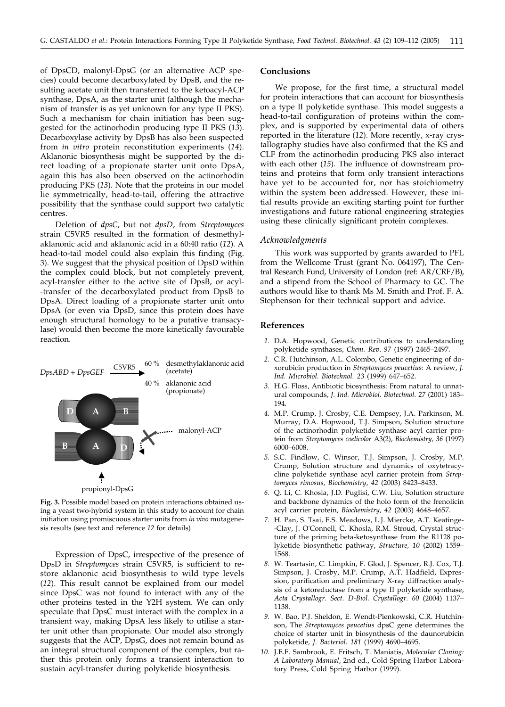of DpsCD, malonyl-DpsG (or an alternative ACP species) could become decarboxylated by DpsB, and the resulting acetate unit then transferred to the ketoacyl-ACP synthase, DpsA, as the starter unit (although the mechanism of transfer is as yet unknown for any type II PKS). Such a mechanism for chain initiation has been suggested for the actinorhodin producing type II PKS (*13*). Decarboxylase activity by DpsB has also been suspected from *in vitro* protein reconstitution experiments (*14*). Aklanonic biosynthesis might be supported by the direct loading of a propionate starter unit onto DpsA, again this has also been observed on the actinorhodin producing PKS (*13*). Note that the proteins in our model lie symmetrically, head-to-tail, offering the attractive possibility that the synthase could support two catalytic centres.

Deletion of *dpsC*, but not *dpsD*, from *Streptomyces* strain C5VR5 resulted in the formation of desmethylaklanonic acid and aklanonic acid in a 60:40 ratio (*12*). A head-to-tail model could also explain this finding (Fig. 3). We suggest that the physical position of DpsD within the complex could block, but not completely prevent, acyl-transfer either to the active site of DpsB, or acyl- -transfer of the decarboxylated product from DpsB to DpsA. Direct loading of a propionate starter unit onto DpsA (or even via DpsD, since this protein does have enough structural homology to be a putative transacylase) would then become the more kinetically favourable reaction.



**Fig. 3.** Possible model based on protein interactions obtained using a yeast two-hybrid system in this study to account for chain initiation using promiscuous starter units from *in vivo* mutagenesis results (see text and reference *12* for details)

Expression of DpsC, irrespective of the presence of DpsD in *Streptomyces* strain C5VR5, is sufficient to restore aklanonic acid biosynthesis to wild type levels (*12*). This result cannot be explained from our model since DpsC was not found to interact with any of the other proteins tested in the Y2H system. We can only speculate that DpsC must interact with the complex in a transient way, making DpsA less likely to utilise a starter unit other than propionate. Our model also strongly suggests that the ACP, DpsG, does not remain bound as an integral structural component of the complex, but rather this protein only forms a transient interaction to sustain acyl-transfer during polyketide biosynthesis.

# **Conclusions**

We propose, for the first time, a structural model for protein interactions that can account for biosynthesis on a type II polyketide synthase. This model suggests a head-to-tail configuration of proteins within the complex, and is supported by experimental data of others reported in the literature (*12*). More recently, x-ray crystallography studies have also confirmed that the KS and CLF from the actinorhodin producing PKS also interact with each other (*15*). The influence of downstream proteins and proteins that form only transient interactions have yet to be accounted for, nor has stoichiometry within the system been addressed. However, these initial results provide an exciting starting point for further investigations and future rational engineering strategies using these clinically significant protein complexes.

# *Acknowledgments*

This work was supported by grants awarded to PFL from the Wellcome Trust (grant No. 064197), The Central Research Fund, University of London (ref: AR/CRF/B), and a stipend from the School of Pharmacy to GC. The authors would like to thank Ms M. Smith and Prof. F. A. Stephenson for their technical support and advice.

# **References**

- *1.* D.A. Hopwood, Genetic contributions to understanding polyketide synthases, *Chem. Rev*. *97* (1997) 2465–2497.
- *2.* C.R. Hutchinson, A.L. Colombo, Genetic engineering of doxorubicin production in *Streptomyces peucetius*: A review, *J. Ind. Microbiol. Biotechnol. 23* (1999) 647–652.
- *3.* H.G. Floss, Antibiotic biosynthesis: From natural to unnatural compounds, *J. Ind. Microbiol. Biotechnol. 27* (2001) 183– 194.
- *4.* M.P. Crump, J. Crosby, C.E. Dempsey, J.A. Parkinson, M. Murray, D.A. Hopwood, T.J. Simpson, Solution structure of the actinorhodin polyketide synthase acyl carrier protein from *Streptomyces coelicolor* A3(2), *Biochemistry, 36* (1997) 6000–6008.
- *5.* S.C. Findlow, C. Winsor, T.J. Simpson, J. Crosby, M.P. Crump, Solution structure and dynamics of oxytetracycline polyketide synthase acyl carrier protein from *Streptomyces rimosus, Biochemistry, 42* (2003) 8423–8433.
- *6.* Q. Li, C. Khosla, J.D. Puglisi, C.W. Liu, Solution structure and backbone dynamics of the holo form of the frenolicin acyl carrier protein, *Biochemistry, 42* (2003) 4648–4657.
- *7.* H. Pan, S. Tsai, E.S. Meadows, L.J. Miercke, A.T. Keatinge- -Clay, J. O'Connell, C. Khosla, R.M. Stroud, Crystal structure of the priming beta-ketosynthase from the R1128 polyketide biosynthetic pathway, *Structure, 10* (2002) 1559– 1568.
- *8.* W. Teartasin, C. Limpkin, F. Glod, J. Spencer, R.J. Cox, T.J. Simpson, J. Crosby, M.P. Crump, A.T. Hadfield, Expression, purification and preliminary X-ray diffraction analysis of a ketoreductase from a type II polyketide synthase, *Acta Crystallogr. Sect. D-Biol. Crystallogr. 60* (2004) 1137– 1138.
- *9.* W. Bao, P.J. Sheldon, E. Wendt-Pienkowski, C.R. Hutchinson, The *Streptomyces peucetius* dpsC gene determines the choice of starter unit in biosynthesis of the daunorubicin polyketide, *J. Bacteriol. 181* (1999) 4690–4695.
- *10.* J.E.F. Sambrook, E. Fritsch, T. Maniatis, *Molecular Cloning: A Laboratory Manual*, 2nd ed., Cold Spring Harbor Laboratory Press, Cold Spring Harbor (1999).